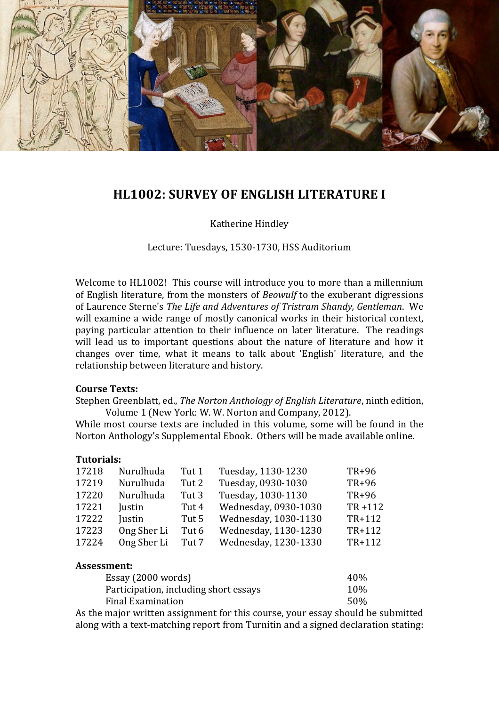

# **HL1002: SURVEY OF ENGLISH LITERATURE I**

Katherine Hindley

Lecture: Tuesdays, 1530-1730, HSS Auditorium

Welcome to HL1002! This course will introduce you to more than a millennium of English literature, from the monsters of *Beowulf* to the exuberant digressions of Laurence Sterne's *The Life and Adventures of Tristram Shandy, Gentleman*. We will examine a wide range of mostly canonical works in their historical context, paying particular attention to their influence on later literature. The readings will lead us to important questions about the nature of literature and how it changes over time, what it means to talk about 'English' literature, and the relationship between literature and history.

#### **Course Texts:**

Stephen Greenblatt, ed., *The Norton Anthology of English Literature*, ninth edition, Volume 1 (New York: W. W. Norton and Company, 2012).

While most course texts are included in this volume, some will be found in the Norton Anthology's Supplemental Ebook. Others will be made available online.

#### **Tutorials:**

| 17218 | Nurulhuda   | Tut 1 | Tuesday, 1130-1230   | TR+96      |
|-------|-------------|-------|----------------------|------------|
| 17219 | Nurulhuda   | Tut 2 | Tuesday, 0930-1030   | TR+96      |
| 17220 | Nurulhuda   | Tut 3 | Tuesday, 1030-1130   | TR+96      |
| 17221 | Justin      | Tut 4 | Wednesday, 0930-1030 | $TR + 112$ |
| 17222 | Justin      | Tut 5 | Wednesday, 1030-1130 | TR+112     |
| 17223 | Ong Sher Li | Tut 6 | Wednesday, 1130-1230 | TR+112     |
| 17224 | Ong Sher Li | Tut 7 | Wednesday, 1230-1330 | TR+112     |
|       |             |       |                      |            |

#### **Assessment:**

| Essay (2000 words)                    | 40% |
|---------------------------------------|-----|
| Participation, including short essays | 10% |
| Final Examination                     | 50% |
|                                       |     |

As the major written assignment for this course, your essay should be submitted along with a text-matching report from Turnitin and a signed declaration stating: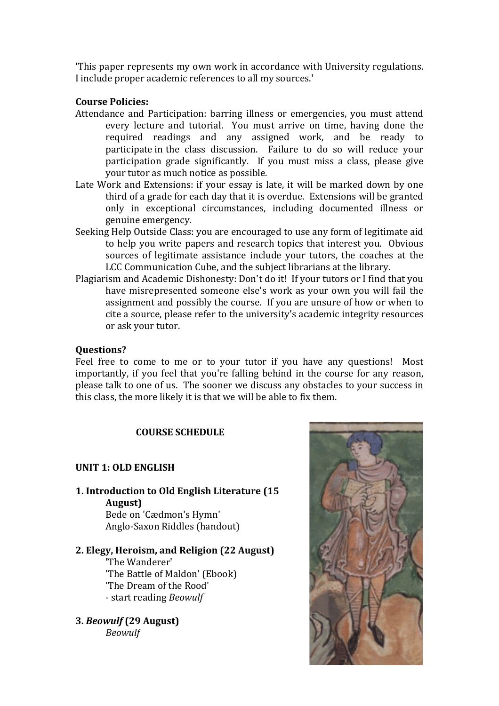'This paper represents my own work in accordance with University regulations. I include proper academic references to all my sources.'

### **Course Policies:**

- Attendance and Participation: barring illness or emergencies, you must attend every lecture and tutorial. You must arrive on time, having done the required readings and any assigned work, and be ready to participate in the class discussion. Failure to do so will reduce your participation grade significantly. If you must miss a class, please give your tutor as much notice as possible.
- Late Work and Extensions: if your essay is late, it will be marked down by one third of a grade for each day that it is overdue. Extensions will be granted only in exceptional circumstances, including documented illness or genuine emergency.
- Seeking Help Outside Class: you are encouraged to use any form of legitimate aid to help you write papers and research topics that interest you. Obvious sources of legitimate assistance include your tutors, the coaches at the LCC Communication Cube, and the subject librarians at the library.
- Plagiarism and Academic Dishonesty: Don't do it! If your tutors or I find that you have misrepresented someone else's work as your own you will fail the assignment and possibly the course. If you are unsure of how or when to cite a source, please refer to the university's academic integrity resources or ask your tutor.

### **Questions?**

Feel free to come to me or to your tutor if you have any questions! Most importantly, if you feel that you're falling behind in the course for any reason, please talk to one of us. The sooner we discuss any obstacles to your success in this class, the more likely it is that we will be able to fix them.

### **COURSE SCHEDULE**

### **UNIT 1: OLD ENGLISH**

**1. Introduction to Old English Literature (15 August)**

Bede on 'Cædmon's Hymn' Anglo-Saxon Riddles (handout)

# **2. Elegy, Heroism, and Religion (22 August)**

**'**The Wanderer' 'The Battle of Maldon' (Ebook) 'The Dream of the Rood' - start reading *Beowulf*

**3.** *Beowulf* **(29 August)** *Beowulf*

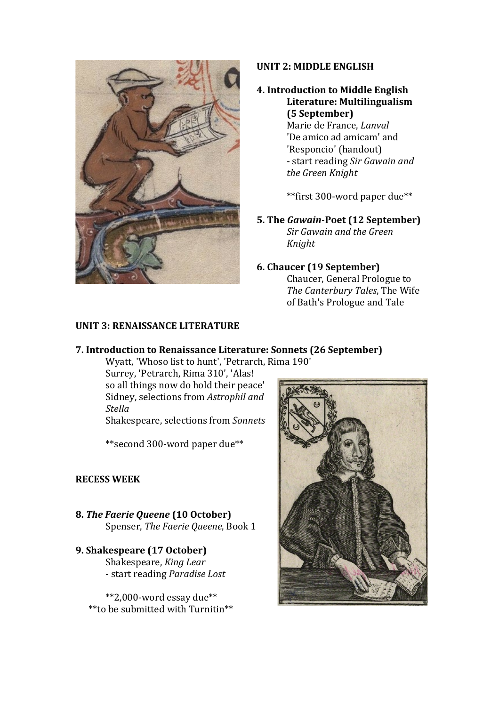

### **UNIT 2: MIDDLE ENGLISH**

# **4. Introduction to Middle English Literature: Multilingualism (5 September)** Marie de France, *Lanval*

'De amico ad amicam' and 'Responcio' (handout) - start reading *Sir Gawain and the Green Knight* 

\*\*first 300-word paper due\*\*

**5. The** *Gawain***-Poet (12 September)** *Sir Gawain and the Green Knight*

### **6. Chaucer (19 September)**

Chaucer, General Prologue to *The Canterbury Tales*, The Wife of Bath's Prologue and Tale

### **UNIT 3: RENAISSANCE LITERATURE**

### **7. Introduction to Renaissance Literature: Sonnets (26 September)**

Wyatt, 'Whoso list to hunt', 'Petrarch, Rima 190'

Surrey, 'Petrarch, Rima 310', 'Alas! so all things now do hold their peace' Sidney, selections from *Astrophil and Stella*

Shakespeare, selections from *Sonnets*

\*\*second 300-word paper due\*\*

### **RECESS WEEK**

- **8.** *The Faerie Queene* **(10 October)** Spenser, *The Faerie Queene*, Book 1
- **9. Shakespeare (17 October)** Shakespeare, *King Lear* - start reading *Paradise Lost*

\*\*2,000-word essay due\*\* \*\*to be submitted with Turnitin\*\*